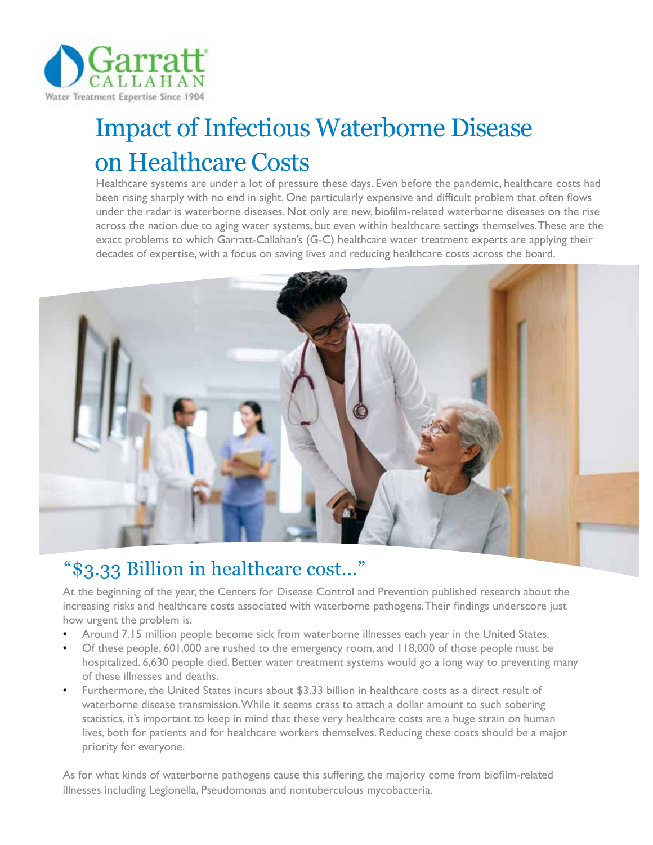

# Impact of Infectious Waterborne Disease on Healthcare Costs

Healthcare systems are under a lot of pressure these days. Even before the pandemic, healthcare costs had been rising sharply with no end in sight. One particularly expensive and difficult problem that often flows under the radar is waterborne diseases. Not only are new, biofilm-related waterborne diseases on the rise across the nation due to aging water systems, but even within healthcare settings themselves. These are the exact problems to which Garratt-Callahan's (G-C) healthcare water treatment experts are applying their decades of expertise, with a focus on saving lives and reducing healthcare costs across the board.



## "\$3.33 Billion in healthcare cost..."

At the beginning of the year, the Centers for Disease Control and Prevention published research about the increasing risks and healthcare costs associated with waterborne pathogens. Their findings underscore just how urgent the problem is:

- Around 7.15 million people become sick from waterborne illnesses each year in the United States.
- Of these people, 601,000 are rushed to the emergency room, and 118,000 of those people must be hospitalized. 6,630 people died. Better water treatment systems would go a long way to preventing many of these illnesses and deaths.
- Furthermore, the United States incurs about \$3.33 billion in healthcare costs as a direct result of waterborne disease transmission. While it seems crass to attach a dollar amount to such sobering statistics, it's important to keep in mind that these very healthcare costs are a huge strain on human lives, both for patients and for healthcare workers themselves. Reducing these costs should be a major priority for everyone.

As for what kinds of waterborne pathogens cause this suffering, the majority come from biofilm-related illnesses including Legionella, Pseudomonas and nontuberculous mycobacteria.